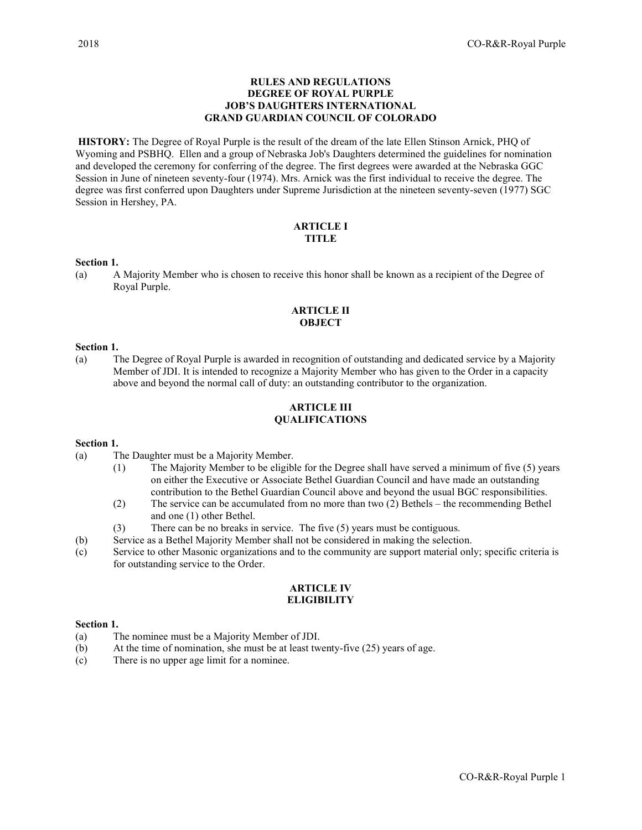## RULES AND REGULATIONS DEGREE OF ROYAL PURPLE JOB'S DAUGHTERS INTERNATIONAL GRAND GUARDIAN COUNCIL OF COLORADO

HISTORY: The Degree of Royal Purple is the result of the dream of the late Ellen Stinson Arnick, PHQ of Wyoming and PSBHQ. Ellen and a group of Nebraska Job's Daughters determined the guidelines for nomination and developed the ceremony for conferring of the degree. The first degrees were awarded at the Nebraska GGC Session in June of nineteen seventy-four (1974). Mrs. Arnick was the first individual to receive the degree. The degree was first conferred upon Daughters under Supreme Jurisdiction at the nineteen seventy-seven (1977) SGC Session in Hershey, PA.

#### ARTICLE I **TITLE**

#### Section 1.

(a) A Majority Member who is chosen to receive this honor shall be known as a recipient of the Degree of Royal Purple.

## ARTICLE II **OBJECT**

#### Section 1.

(a) The Degree of Royal Purple is awarded in recognition of outstanding and dedicated service by a Majority Member of JDI. It is intended to recognize a Majority Member who has given to the Order in a capacity above and beyond the normal call of duty: an outstanding contributor to the organization.

### ARTICLE III QUALIFICATIONS

## Section 1.

- (a) The Daughter must be a Majority Member.
	- (1) The Majority Member to be eligible for the Degree shall have served a minimum of five (5) years on either the Executive or Associate Bethel Guardian Council and have made an outstanding contribution to the Bethel Guardian Council above and beyond the usual BGC responsibilities.
	- (2) The service can be accumulated from no more than two (2) Bethels the recommending Bethel and one (1) other Bethel.
	- (3) There can be no breaks in service. The five (5) years must be contiguous.
- (b) Service as a Bethel Majority Member shall not be considered in making the selection.
- (c) Service to other Masonic organizations and to the community are support material only; specific criteria is for outstanding service to the Order.

## ARTICLE IV **ELIGIBILITY**

#### Section 1.

- (a) The nominee must be a Majority Member of JDI.
- (b) At the time of nomination, she must be at least twenty-five (25) years of age.
- (c) There is no upper age limit for a nominee.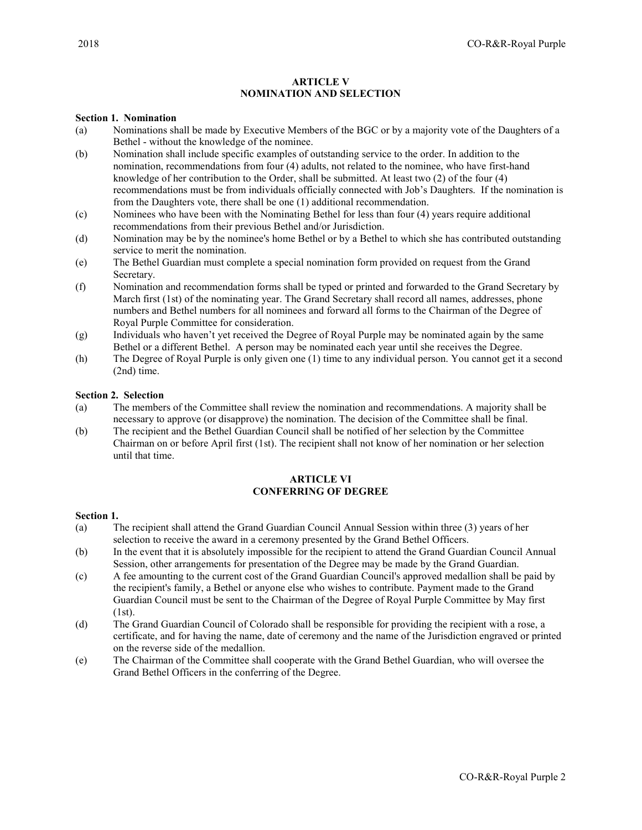## ARTICLE V NOMINATION AND SELECTION

### Section 1. Nomination

- (a) Nominations shall be made by Executive Members of the BGC or by a majority vote of the Daughters of a Bethel - without the knowledge of the nominee.
- (b) Nomination shall include specific examples of outstanding service to the order. In addition to the nomination, recommendations from four (4) adults, not related to the nominee, who have first-hand knowledge of her contribution to the Order, shall be submitted. At least two (2) of the four (4) recommendations must be from individuals officially connected with Job's Daughters. If the nomination is from the Daughters vote, there shall be one (1) additional recommendation.
- (c) Nominees who have been with the Nominating Bethel for less than four (4) years require additional recommendations from their previous Bethel and/or Jurisdiction.
- (d) Nomination may be by the nominee's home Bethel or by a Bethel to which she has contributed outstanding service to merit the nomination.
- (e) The Bethel Guardian must complete a special nomination form provided on request from the Grand Secretary.
- (f) Nomination and recommendation forms shall be typed or printed and forwarded to the Grand Secretary by March first (1st) of the nominating year. The Grand Secretary shall record all names, addresses, phone numbers and Bethel numbers for all nominees and forward all forms to the Chairman of the Degree of Royal Purple Committee for consideration.
- (g) Individuals who haven't yet received the Degree of Royal Purple may be nominated again by the same Bethel or a different Bethel. A person may be nominated each year until she receives the Degree.
- (h) The Degree of Royal Purple is only given one (1) time to any individual person. You cannot get it a second (2nd) time.

## Section 2. Selection

- (a) The members of the Committee shall review the nomination and recommendations. A majority shall be necessary to approve (or disapprove) the nomination. The decision of the Committee shall be final.
- (b) The recipient and the Bethel Guardian Council shall be notified of her selection by the Committee Chairman on or before April first (1st). The recipient shall not know of her nomination or her selection until that time.

# ARTICLE VI CONFERRING OF DEGREE

#### Section 1.

- (a) The recipient shall attend the Grand Guardian Council Annual Session within three (3) years of her selection to receive the award in a ceremony presented by the Grand Bethel Officers.
- (b) In the event that it is absolutely impossible for the recipient to attend the Grand Guardian Council Annual Session, other arrangements for presentation of the Degree may be made by the Grand Guardian.
- (c) A fee amounting to the current cost of the Grand Guardian Council's approved medallion shall be paid by the recipient's family, a Bethel or anyone else who wishes to contribute. Payment made to the Grand Guardian Council must be sent to the Chairman of the Degree of Royal Purple Committee by May first (1st).
- (d) The Grand Guardian Council of Colorado shall be responsible for providing the recipient with a rose, a certificate, and for having the name, date of ceremony and the name of the Jurisdiction engraved or printed on the reverse side of the medallion.
- (e) The Chairman of the Committee shall cooperate with the Grand Bethel Guardian, who will oversee the Grand Bethel Officers in the conferring of the Degree.